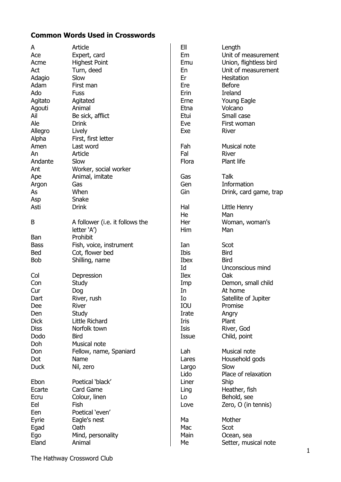## **Common Words Used in Crosswords**

| A           | Article                         | EII         | Length                 |
|-------------|---------------------------------|-------------|------------------------|
| Ace         | Expert, card                    | Em          | Unit of measurement    |
|             |                                 |             |                        |
| Acme        | <b>Highest Point</b>            | Emu         | Union, flightless bird |
| Act         | Turn, deed                      | En          | Unit of measurement    |
| Adagio      | Slow                            | Er          | <b>Hesitation</b>      |
| Adam        | First man                       | Ere         | <b>Before</b>          |
| Ado         | <b>Fuss</b>                     | <b>Erin</b> | Ireland                |
| Agitato     | Agitated                        | Erne        | Young Eagle            |
|             |                                 |             |                        |
| Agouti      | Animal                          | Etna        | Volcano                |
| Ail         | Be sick, afflict                | Etui        | Small case             |
| Ale         | <b>Drink</b>                    | Eve         | First woman            |
| Allegro     | Lively                          | Exe         | River                  |
| Alpha       | First, first letter             |             |                        |
| Amen        | Last word                       | Fah         | Musical note           |
|             |                                 | Fal         | River                  |
| An          | Article                         |             |                        |
| Andante     | Slow                            | Flora       | Plant life             |
| Ant         | Worker, social worker           |             |                        |
| Ape         | Animal, imitate                 | Gas         | <b>Talk</b>            |
| Argon       | Gas                             | Gen         | Information            |
| As          | When                            | Gin         | Drink, card game, trap |
|             | Snake                           |             |                        |
| Asp         |                                 |             |                        |
| Asti        | <b>Drink</b>                    | Hal         | Little Henry           |
|             |                                 | He          | Man                    |
| B           | A follower (i.e. it follows the | Her         | Woman, woman's         |
|             | letter 'A')                     | Him         | Man                    |
| Ban         | Prohibit                        |             |                        |
| <b>Bass</b> | Fish, voice, instrument         | Ian         | Scot                   |
|             |                                 | Ibis        | <b>Bird</b>            |
| <b>Bed</b>  | Cot, flower bed                 |             |                        |
| <b>Bob</b>  | Shilling, name                  | <b>Ibex</b> | <b>Bird</b>            |
|             |                                 | Id          | Unconscious mind       |
| Col         | Depression                      | <b>Ilex</b> | Oak                    |
| Con         | <b>Study</b>                    | Imp         | Demon, small child     |
| Cur         | Dog                             | In          | At home                |
| Dart        | River, rush                     | Ιo          | Satellite of Jupiter   |
| <b>Dee</b>  | River                           | IOU         | Promise                |
|             |                                 |             |                        |
| Den         | <b>Study</b>                    | Irate       | Angry                  |
| <b>Dick</b> | Little Richard                  | Iris        | Plant                  |
| <b>Diss</b> | Norfolk town                    | Isis        | River, God             |
| Dodo        | <b>Bird</b>                     | Issue       | Child, point           |
| Doh         | Musical note                    |             |                        |
| Don         | Fellow, name, Spaniard          | Lah         | Musical note           |
| Dot         | <b>Name</b>                     | Lares       | Household gods         |
|             |                                 |             | Slow                   |
| <b>Duck</b> | Nil, zero                       | Largo       |                        |
|             |                                 | Lido        | Place of relaxation    |
| Ebon        | Poetical 'black'                | Liner       | Ship                   |
| Ecarte      | Card Game                       | Ling        | Heather, fish          |
| Ecru        | Colour, linen                   | Lo          | Behold, see            |
| Eel         | Fish                            | Love        | Zero, O (in tennis)    |
| Een         | Poetical 'even'                 |             |                        |
|             |                                 |             |                        |
| Eyrie       | Eagle's nest                    | Ma          | Mother                 |
| Egad        | Oath                            | Mac         | Scot                   |
| Ego         | Mind, personality               | Main        | Ocean, sea             |
| Eland       | Animal                          | Me          | Setter, musical note   |